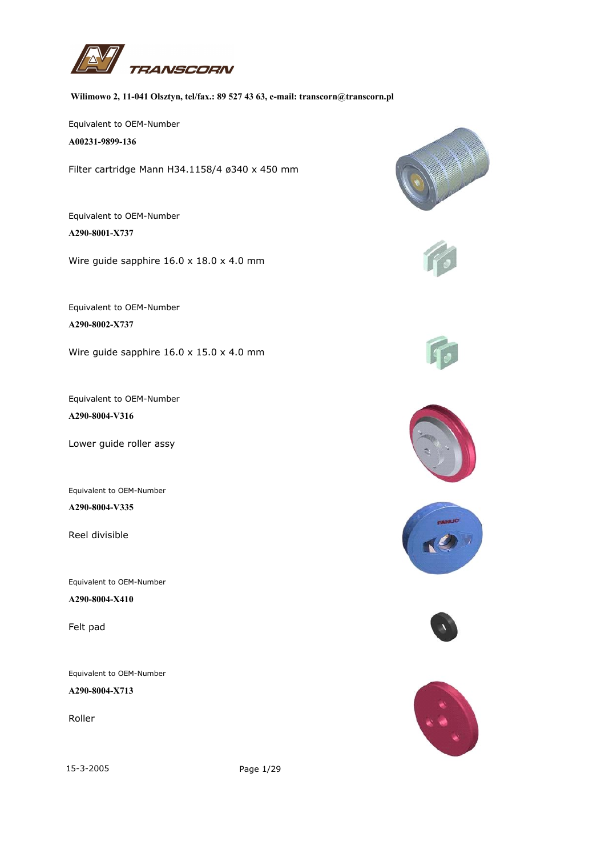

## **Wilimowo 2, 11-041 Olsztyn, tel/fax.: 89 527 43 63, e-mail: transcorn@transcorn.pl**

Equivalent to OEM-Number

**A00231-9899-136**

Filter cartridge Mann H34.1158/4 ø340 x 450 mm

Equivalent to OEM-Number **A290-8001-X737**

Wire guide sapphire 16.0 x 18.0 x 4.0 mm

Equivalent to OEM-Number **A290-8002-X737**

Wire guide sapphire 16.0 x 15.0 x 4.0 mm

Equivalent to OEM-Number **A290-8004-V316**

Lower guide roller assy

Equivalent to OEM-Number **A290-8004-V335**

Reel divisible

Equivalent to OEM-Number

**A290-8004-X410**

Felt pad

Equivalent to OEM-Number

**A290-8004-X713**

Roller

15-3-2005 Page 1/29













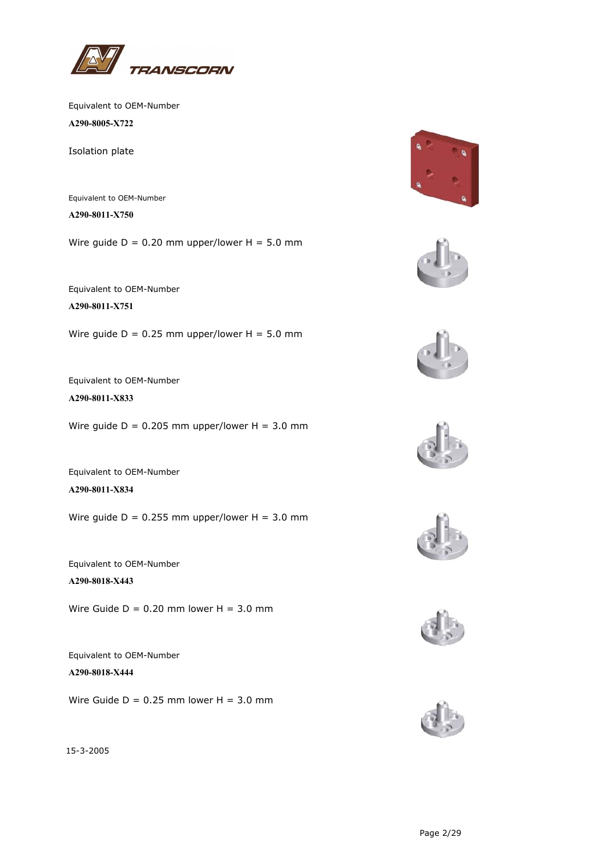

**A290-8005-X722**

Isolation plate

Equivalent to OEM-Number **A290-8011-X750**

Wire quide  $D = 0.20$  mm upper/lower  $H = 5.0$  mm

Equivalent to OEM-Number

**A290-8011-X751**

Wire quide  $D = 0.25$  mm upper/lower  $H = 5.0$  mm

Equivalent to OEM-Number

**A290-8011-X833**

Wire guide  $D = 0.205$  mm upper/lower  $H = 3.0$  mm

Equivalent to OEM-Number **A290-8011-X834**

Wire guide  $D = 0.255$  mm upper/lower  $H = 3.0$  mm

Equivalent to OEM-Number **A290-8018-X443**

Wire Guide  $D = 0.20$  mm lower  $H = 3.0$  mm

Equivalent to OEM-Number **A290-8018-X444**

Wire Guide  $D = 0.25$  mm lower  $H = 3.0$  mm













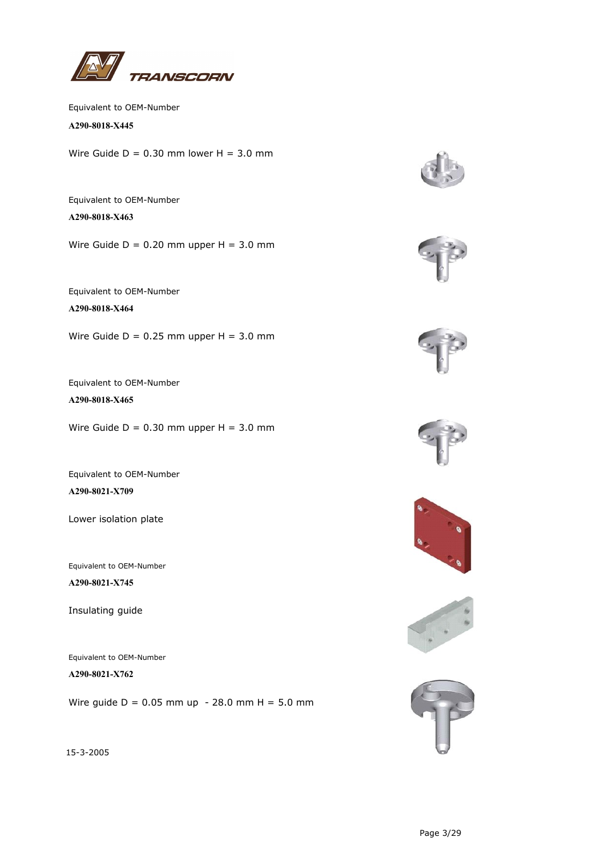

**A290-8018-X445**

Wire Guide  $D = 0.30$  mm lower  $H = 3.0$  mm

Equivalent to OEM-Number **A290-8018-X463**

Wire Guide  $D = 0.20$  mm upper  $H = 3.0$  mm

Equivalent to OEM-Number **A290-8018-X464**

Wire Guide  $D = 0.25$  mm upper  $H = 3.0$  mm

Equivalent to OEM-Number **A290-8018-X465**

Wire Guide  $D = 0.30$  mm upper  $H = 3.0$  mm

Equivalent to OEM-Number **A290-8021-X709**

Lower isolation plate

Equivalent to OEM-Number

**A290-8021-X745**

Insulating guide

Equivalent to OEM-Number

**A290-8021-X762**

Wire guide  $D = 0.05$  mm up - 28.0 mm H = 5.0 mm













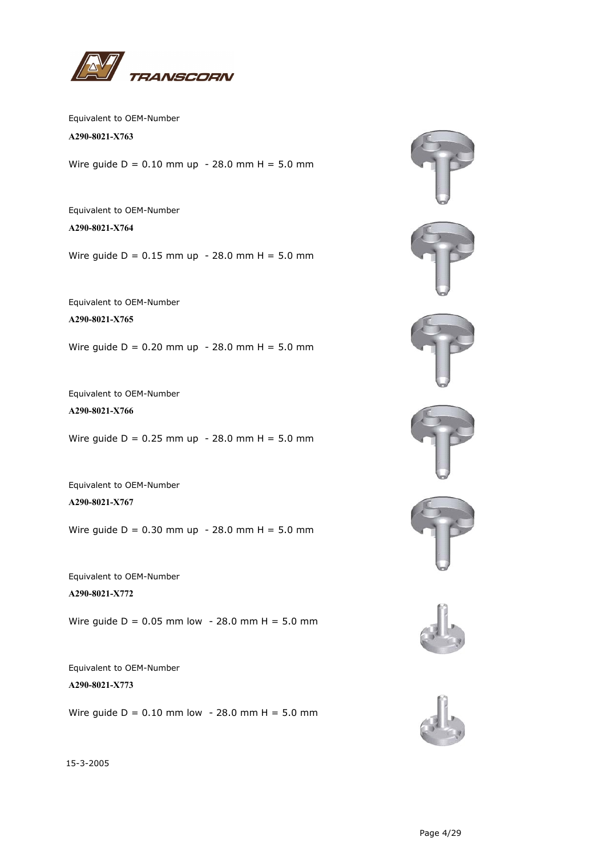

**A290-8021-X763**

Wire guide  $D = 0.10$  mm up - 28.0 mm H = 5.0 mm

Equivalent to OEM-Number **A290-8021-X764**

Wire guide  $D = 0.15$  mm up - 28.0 mm H = 5.0 mm

Equivalent to OEM-Number

**A290-8021-X765**

Wire guide  $D = 0.20$  mm up - 28.0 mm H = 5.0 mm

Equivalent to OEM-Number **A290-8021-X766**

Wire guide  $D = 0.25$  mm up - 28.0 mm H = 5.0 mm

Equivalent to OEM-Number **A290-8021-X767**

Wire guide  $D = 0.30$  mm up - 28.0 mm H = 5.0 mm

Equivalent to OEM-Number **A290-8021-X772**

Wire guide  $D = 0.05$  mm low - 28.0 mm H = 5.0 mm

Equivalent to OEM-Number **A290-8021-X773**

Wire guide  $D = 0.10$  mm low - 28.0 mm H = 5.0 mm







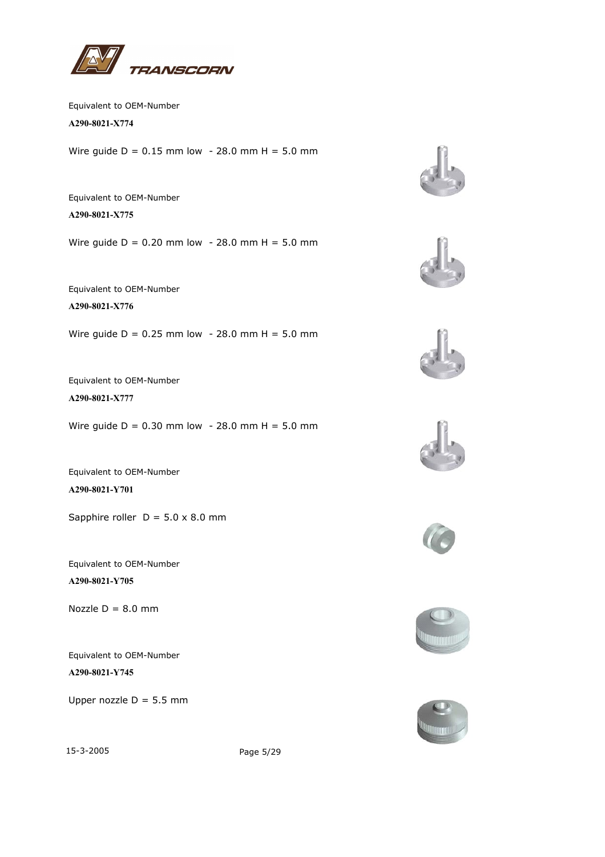

**A290-8021-X774**

Wire guide  $D = 0.15$  mm low - 28.0 mm H = 5.0 mm

Equivalent to OEM-Number **A290-8021-X775**

Wire guide  $D = 0.20$  mm low - 28.0 mm H = 5.0 mm

Equivalent to OEM-Number **A290-8021-X776**

Wire guide  $D = 0.25$  mm low - 28.0 mm H = 5.0 mm

Equivalent to OEM-Number **A290-8021-X777**

Wire guide  $D = 0.30$  mm low - 28.0 mm H = 5.0 mm

Equivalent to OEM-Number **A290-8021-Y701**

Sapphire roller  $D = 5.0 \times 8.0$  mm

Equivalent to OEM-Number **A290-8021-Y705**

Nozzle  $D = 8.0$  mm

Equivalent to OEM-Number **A290-8021-Y745**

Upper nozzle  $D = 5.5$  mm















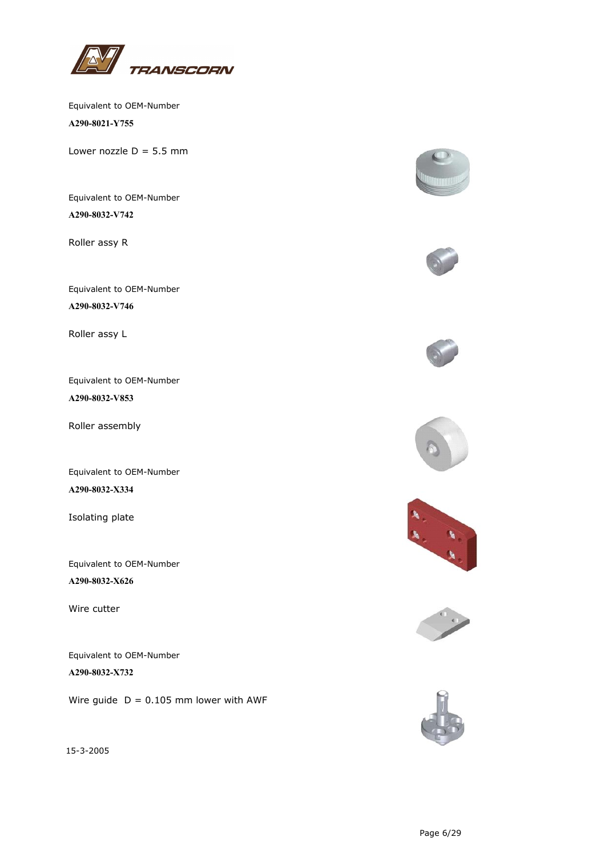

Equivalent to OEM-Number **A290-8021-Y755**

Lower nozzle  $D = 5.5$  mm

Equivalent to OEM-Number **A290-8032-V742**

Roller assy R

Equivalent to OEM-Number **A290-8032-V746**

Roller assy L

Equivalent to OEM-Number **A290-8032-V853**

Roller assembly

Equivalent to OEM-Number **A290-8032-X334**

Isolating plate

Equivalent to OEM-Number **A290-8032-X626**

Wire cutter

Equivalent to OEM-Number **A290-8032-X732**

Wire guide  $D = 0.105$  mm lower with AWF













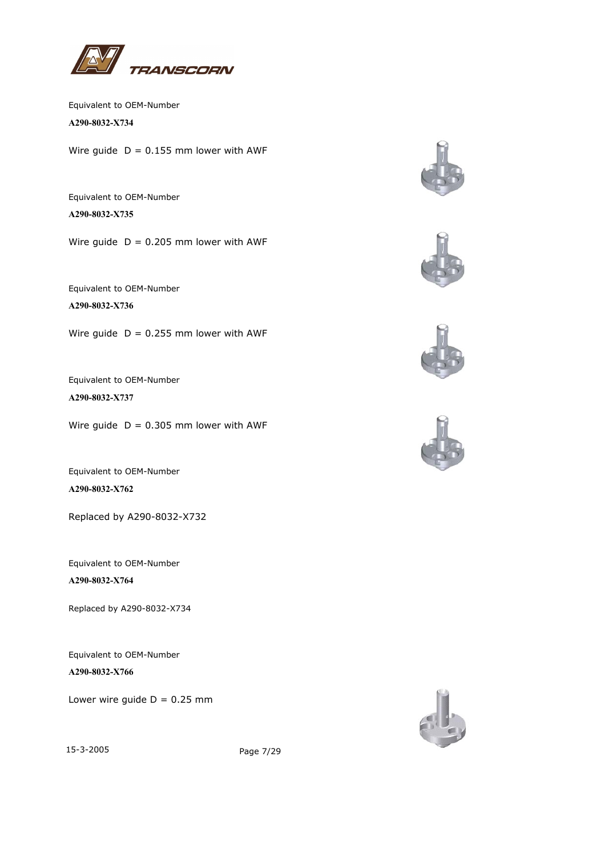

**A290-8032-X734**

Wire guide  $D = 0.155$  mm lower with AWF

Equivalent to OEM-Number **A290-8032-X735**

Wire guide  $D = 0.205$  mm lower with AWF

Equivalent to OEM-Number

**A290-8032-X736**

Wire guide  $D = 0.255$  mm lower with AWF

Equivalent to OEM-Number

**A290-8032-X737**

Wire guide  $D = 0.305$  mm lower with AWF

Equivalent to OEM-Number **A290-8032-X762**

Replaced by A290-8032-X732

Equivalent to OEM-Number **A290-8032-X764**

Replaced by A290-8032-X734

Equivalent to OEM-Number

**A290-8032-X766**

Lower wire guide  $D = 0.25$  mm











15-3-2005 Page 7/29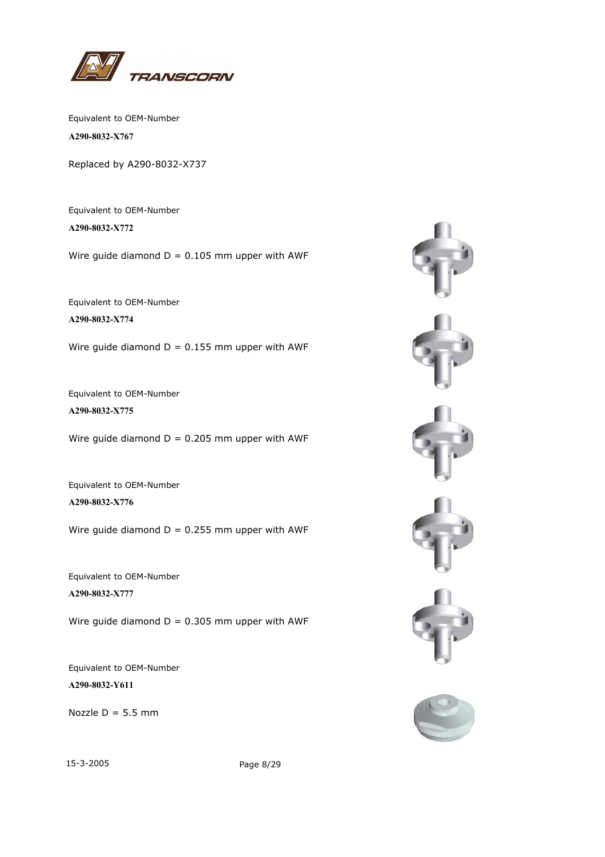

Equivalent to OEM-Number **A290-8032-X767**

Replaced by A290-8032-X737

Equivalent to OEM-Number **A290-8032-X772**

Wire guide diamond  $D = 0.105$  mm upper with AWF

Equivalent to OEM-Number **A290-8032-X774**

Wire guide diamond  $D = 0.155$  mm upper with AWF

Equivalent to OEM-Number **A290-8032-X775**

Wire guide diamond  $D = 0.205$  mm upper with AWF

Equivalent to OEM-Number **A290-8032-X776**

Wire guide diamond  $D = 0.255$  mm upper with AWF

Equivalent to OEM-Number **A290-8032-X777**

Wire guide diamond  $D = 0.305$  mm upper with AWF

Equivalent to OEM-Number **A290-8032-Y611**

Nozzle  $D = 5.5$  mm



15-3-2005 Page 8/29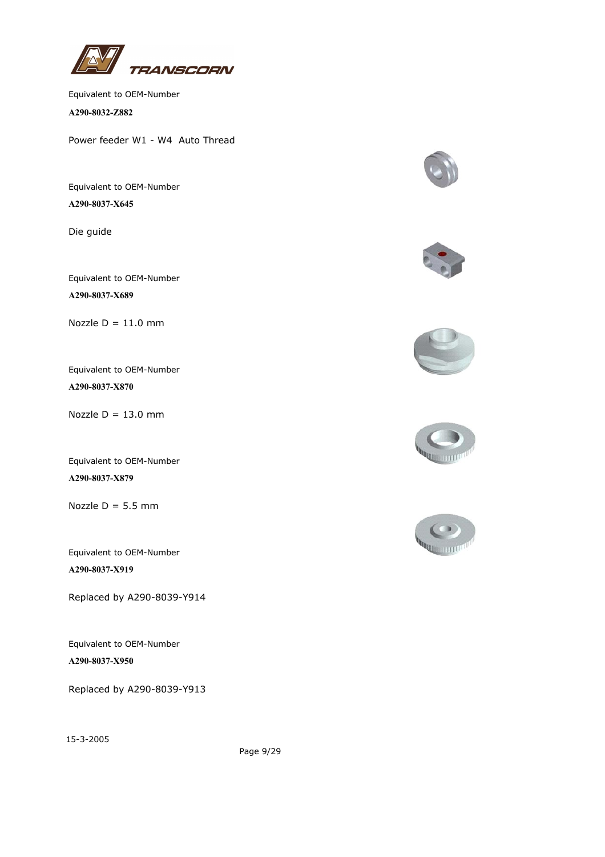

**A290-8032-Z882**

Power feeder W1 - W4 Auto Thread

Equivalent to OEM-Number

**A290-8037-X645**

Die guide

Equivalent to OEM-Number **A290-8037-X689**

Nozzle  $D = 11.0$  mm

Equivalent to OEM-Number **A290-8037-X870**

Nozzle  $D = 13.0$  mm

Equivalent to OEM-Number **A290-8037-X879**

Nozzle  $D = 5.5$  mm

Equivalent to OEM-Number **A290-8037-X919**

Replaced by A290-8039-Y914

Equivalent to OEM-Number **A290-8037-X950**

Replaced by A290-8039-Y913











15-3-2005

Page 9/29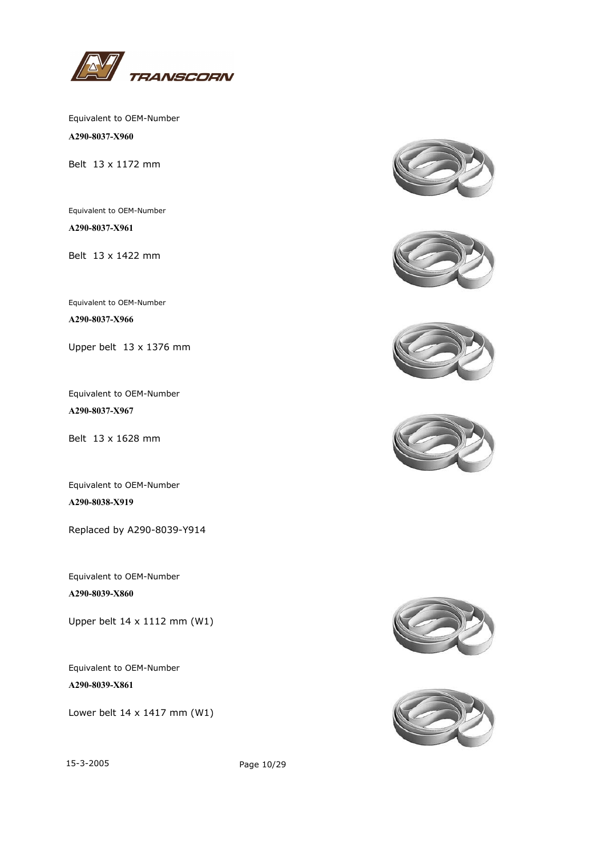

**A290-8037-X960**

Belt 13 x 1172 mm

Equivalent to OEM-Number **A290-8037-X961**

Belt 13 x 1422 mm

Equivalent to OEM-Number

**A290-8037-X966**

Upper belt 13 x 1376 mm

Equivalent to OEM-Number **A290-8037-X967**

Belt 13 x 1628 mm

Equivalent to OEM-Number **A290-8038-X919**

Replaced by A290-8039-Y914

Equivalent to OEM-Number **A290-8039-X860**

Upper belt 14 x 1112 mm (W1)

Equivalent to OEM-Number **A290-8039-X861**

Lower belt 14 x 1417 mm (W1)













15-3-2005 Page 10/29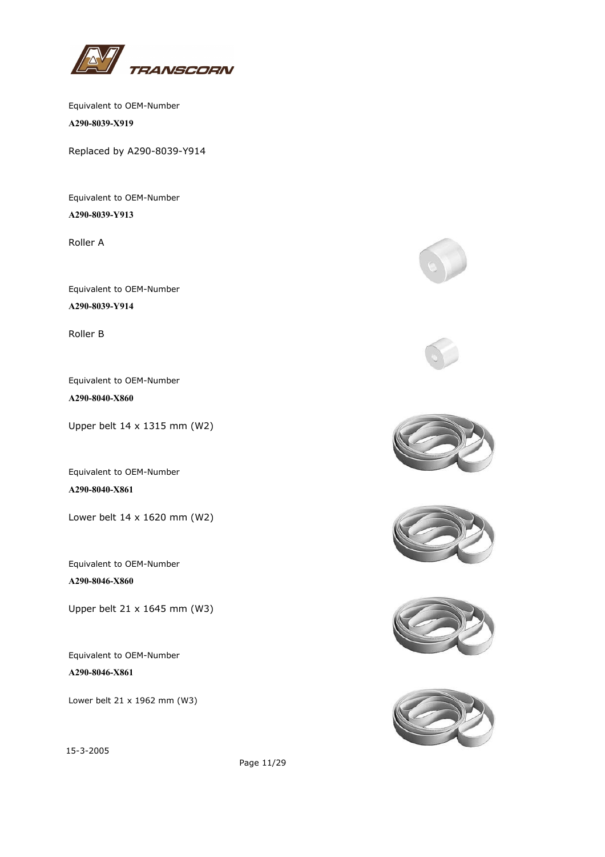

Equivalent to OEM-Number **A290-8039-X919**

Replaced by A290-8039-Y914

Equivalent to OEM-Number **A290-8039-Y913**

Roller A

Equivalent to OEM-Number **A290-8039-Y914**

Roller B

Equivalent to OEM-Number **A290-8040-X860**

Upper belt 14 x 1315 mm (W2)

Equivalent to OEM-Number **A290-8040-X861**

Lower belt 14 x 1620 mm (W2)

Equivalent to OEM-Number **A290-8046-X860**

Upper belt 21 x 1645 mm (W3)

Equivalent to OEM-Number **A290-8046-X861**

Lower belt 21 x 1962 mm (W3)













15-3-2005

Page 11/29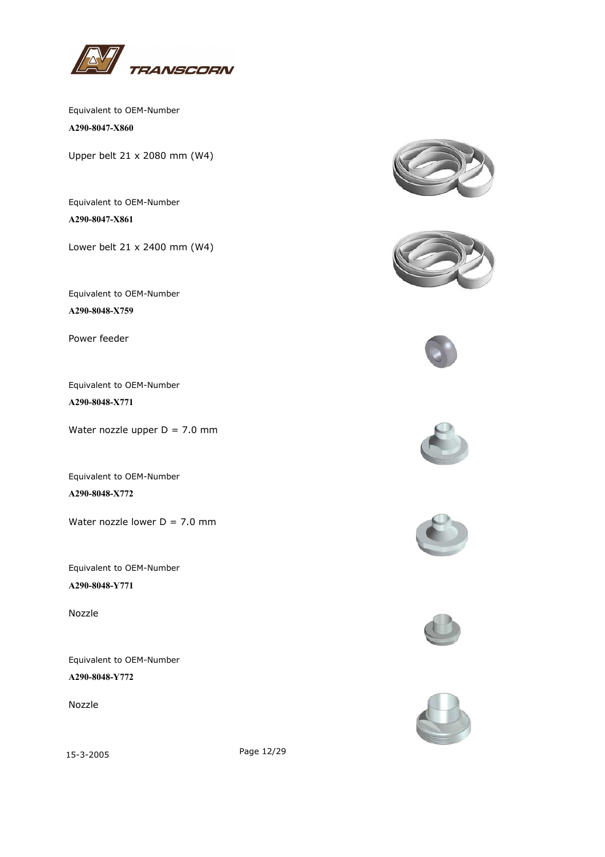

**A290-8047-X860**

Upper belt 21 x 2080 mm (W4)

Equivalent to OEM-Number **A290-8047-X861**

Lower belt 21 x 2400 mm (W4)

Equivalent to OEM-Number **A290-8048-X759**

Power feeder

Equivalent to OEM-Number **A290-8048-X771**

Water nozzle upper  $D = 7.0$  mm

Equivalent to OEM-Number **A290-8048-X772**

Water nozzle lower  $D = 7.0$  mm

Equivalent to OEM-Number **A290-8048-Y771**

Nozzle

Equivalent to OEM-Number **A290-8048-Y772**

Nozzle















15-3-2005 Page 12/29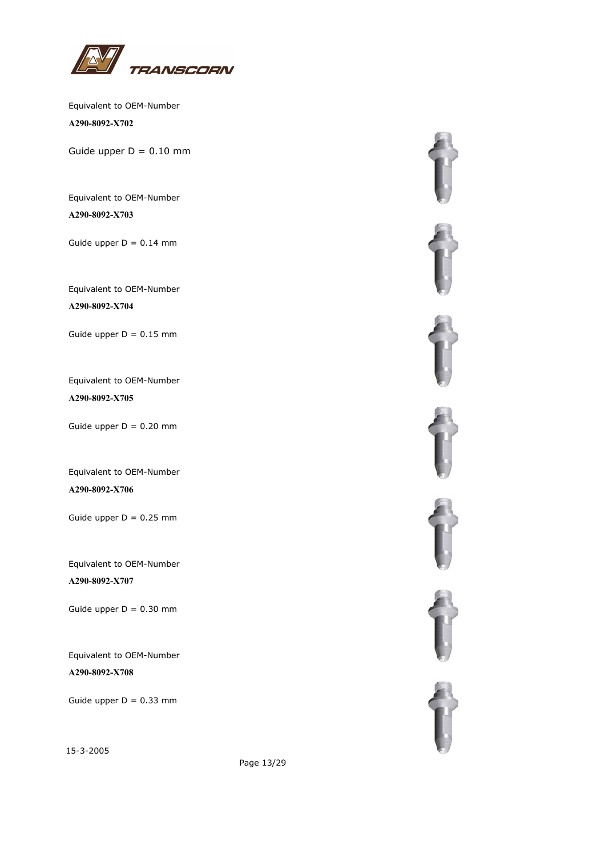

Equivalent to OEM-Number **A290-8092-X702**

Guide upper  $D = 0.10$  mm

Equivalent to OEM-Number **A290-8092-X703**

Guide upper  $D = 0.14$  mm

Equivalent to OEM-Number **A290-8092-X704**

Guide upper  $D = 0.15$  mm

Equivalent to OEM-Number **A290-8092-X705**

Guide upper  $D = 0.20$  mm

Equivalent to OEM-Number **A290-8092-X706**

Guide upper  $D = 0.25$  mm

Equivalent to OEM-Number **A290-8092-X707**

Guide upper  $D = 0.30$  mm

Equivalent to OEM-Number **A290-8092-X708**

Guide upper  $D = 0.33$  mm

15-3-2005



Page 13/29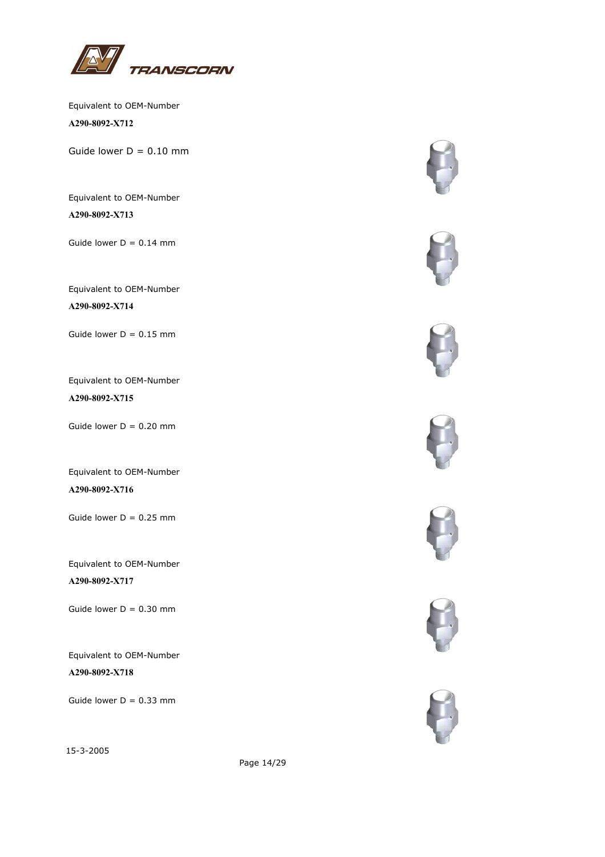

Equivalent to OEM-Number **A290-8092-X712**

Guide lower  $D = 0.10$  mm

Equivalent to OEM-Number **A290-8092-X713**

Guide lower  $D = 0.14$  mm

Equivalent to OEM-Number **A290-8092-X714**

Guide lower  $D = 0.15$  mm

Equivalent to OEM-Number **A290-8092-X715**

Guide lower  $D = 0.20$  mm

Equivalent to OEM-Number **A290-8092-X716**

Guide lower  $D = 0.25$  mm

Equivalent to OEM-Number **A290-8092-X717**

Guide lower  $D = 0.30$  mm

Equivalent to OEM-Number **A290-8092-X718**

Guide lower  $D = 0.33$  mm













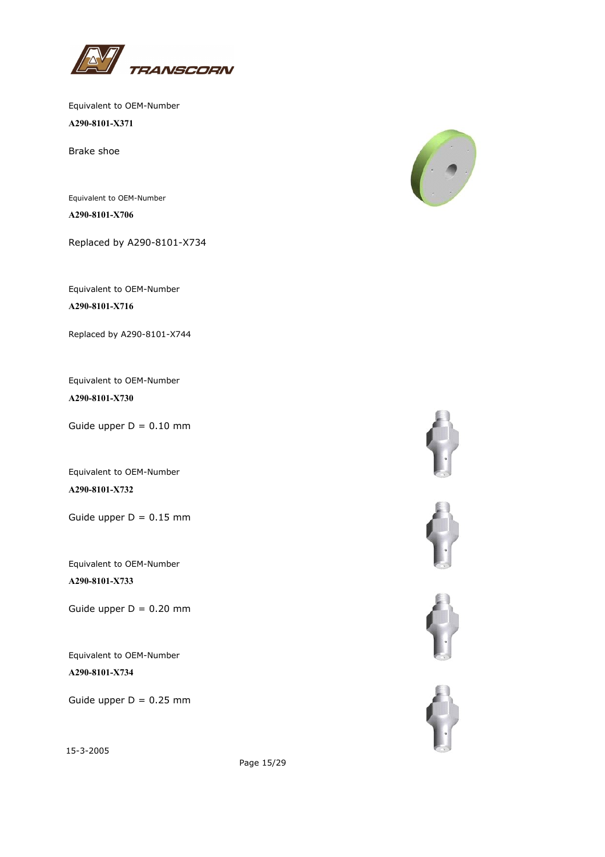

Equivalent to OEM-Number **A290-8101-X371**

Brake shoe

Equivalent to OEM-Number **A290-8101-X706**

Replaced by A290-8101-X734

Equivalent to OEM-Number **A290-8101-X716**

Replaced by A290-8101-X744

Equivalent to OEM-Number **A290-8101-X730**

Guide upper  $D = 0.10$  mm

Equivalent to OEM-Number **A290-8101-X732**

Guide upper  $D = 0.15$  mm

Equivalent to OEM-Number **A290-8101-X733**

Guide upper  $D = 0.20$  mm

Equivalent to OEM-Number **A290-8101-X734**

Guide upper  $D = 0.25$  mm

15-3-2005











Page 15/29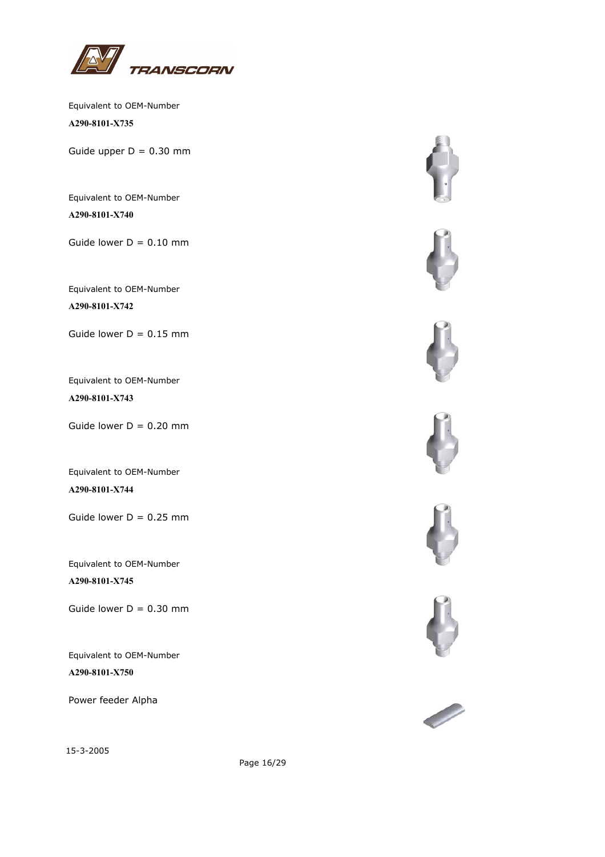

Equivalent to OEM-Number **A290-8101-X735**

Guide upper  $D = 0.30$  mm

Equivalent to OEM-Number **A290-8101-X740**

Guide lower  $D = 0.10$  mm

Equivalent to OEM-Number **A290-8101-X742**

Guide lower  $D = 0.15$  mm

Equivalent to OEM-Number **A290-8101-X743**

Guide lower  $D = 0.20$  mm

Equivalent to OEM-Number **A290-8101-X744**

Guide lower  $D = 0.25$  mm

Equivalent to OEM-Number **A290-8101-X745**

Guide lower  $D = 0.30$  mm

Equivalent to OEM-Number **A290-8101-X750**

Power feeder Alpha















15-3-2005

Page 16/29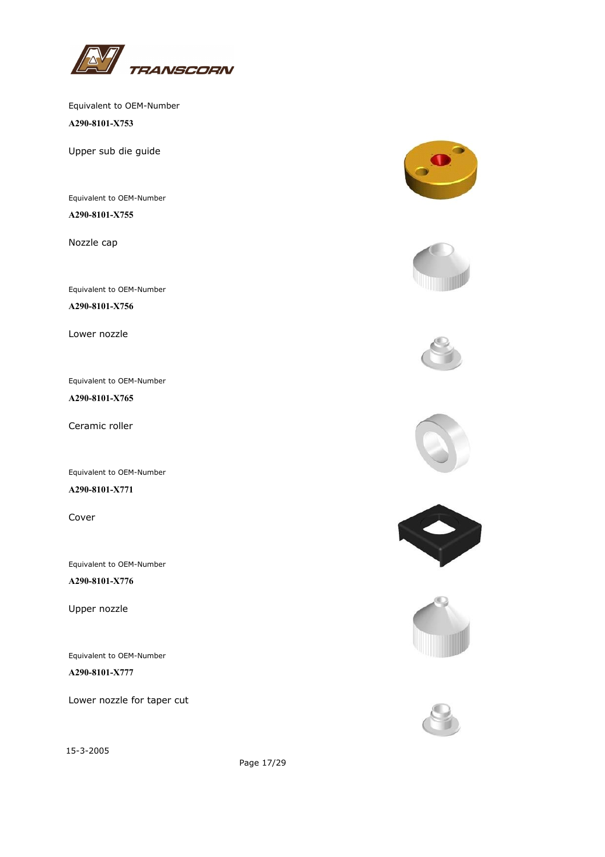

**A290-8101-X753**

Upper sub die guide

Equivalent to OEM-Number **A290-8101-X755**

Nozzle cap

Equivalent to OEM-Number

**A290-8101-X756**

Lower nozzle

Equivalent to OEM-Number

**A290-8101-X765**

Ceramic roller

Equivalent to OEM-Number

**A290-8101-X771**

Cover

Equivalent to OEM-Number **A290-8101-X776**

Upper nozzle

Equivalent to OEM-Number

**A290-8101-X777**

Lower nozzle for taper cut

15-3-2005















Page 17/29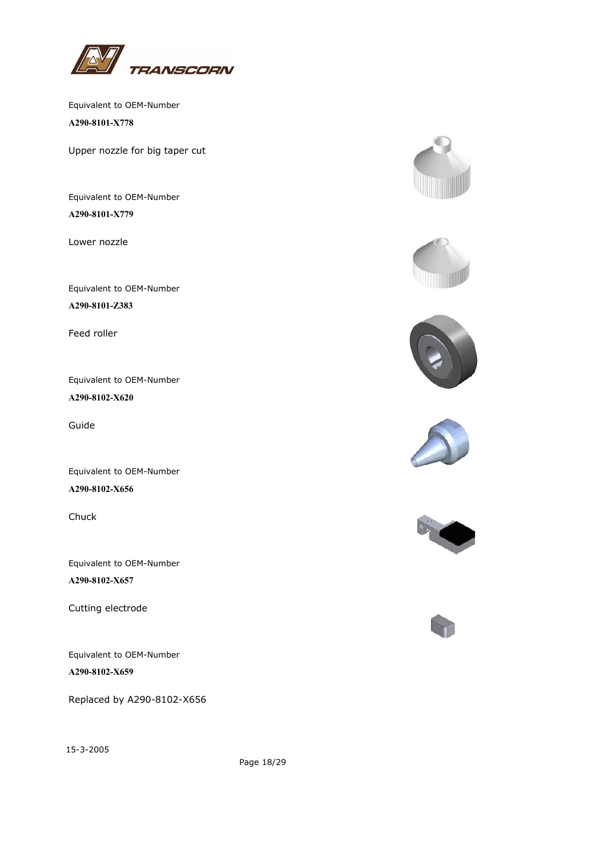

Equivalent to OEM-Number **A290-8101-X778**

Upper nozzle for big taper cut

Equivalent to OEM-Number **A290-8101-X779**

Lower nozzle

Equivalent to OEM-Number **A290-8101-Z383**

Feed roller

Equivalent to OEM-Number **A290-8102-X620**

Guide

Equivalent to OEM-Number **A290-8102-X656**

Chuck

Equivalent to OEM-Number **A290-8102-X657**

Cutting electrode

Equivalent to OEM-Number **A290-8102-X659**

Replaced by A290-8102-X656















Page 18/29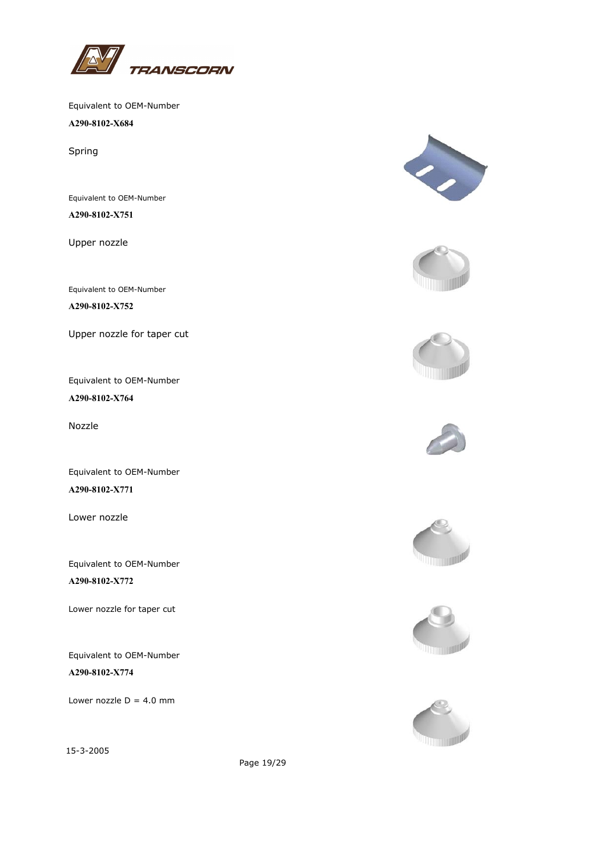

**A290-8102-X684**

Spring

Equivalent to OEM-Number **A290-8102-X751**

Upper nozzle

Equivalent to OEM-Number

**A290-8102-X752**

Upper nozzle for taper cut

Equivalent to OEM-Number **A290-8102-X764**

Nozzle

Equivalent to OEM-Number **A290-8102-X771**

Lower nozzle

Equivalent to OEM-Number **A290-8102-X772**

Lower nozzle for taper cut

Equivalent to OEM-Number **A290-8102-X774**

Lower nozzle  $D = 4.0$  mm

















Page 19/29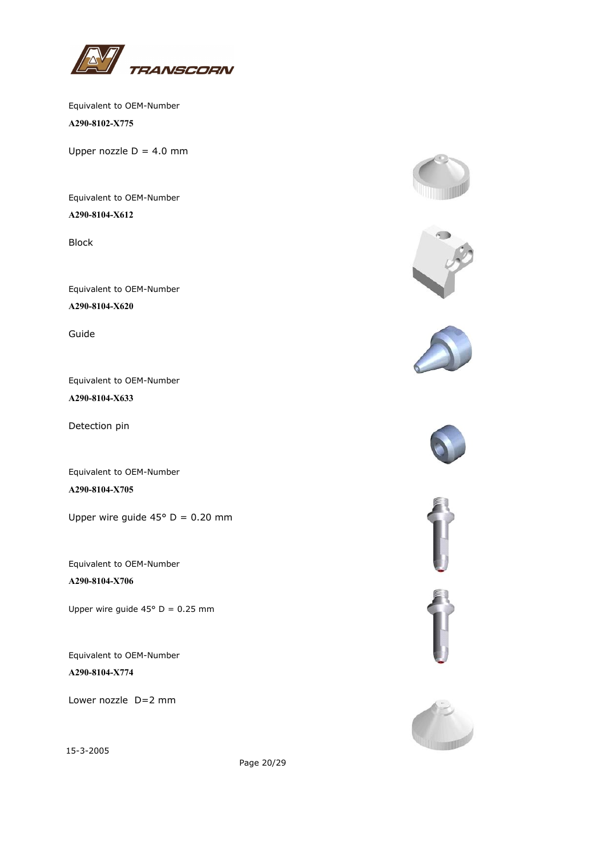

Equivalent to OEM-Number **A290-8102-X775**

Upper nozzle  $D = 4.0$  mm

Equivalent to OEM-Number **A290-8104-X612**

Block

Equivalent to OEM-Number **A290-8104-X620**

Guide

Equivalent to OEM-Number **A290-8104-X633**

Detection pin

Equivalent to OEM-Number **A290-8104-X705**

Upper wire guide  $45^{\circ}$  D = 0.20 mm

Equivalent to OEM-Number **A290-8104-X706**

Upper wire guide  $45^{\circ}$  D = 0.25 mm

Equivalent to OEM-Number **A290-8104-X774**

Lower nozzle D=2 mm

15-3-2005















Page 20/29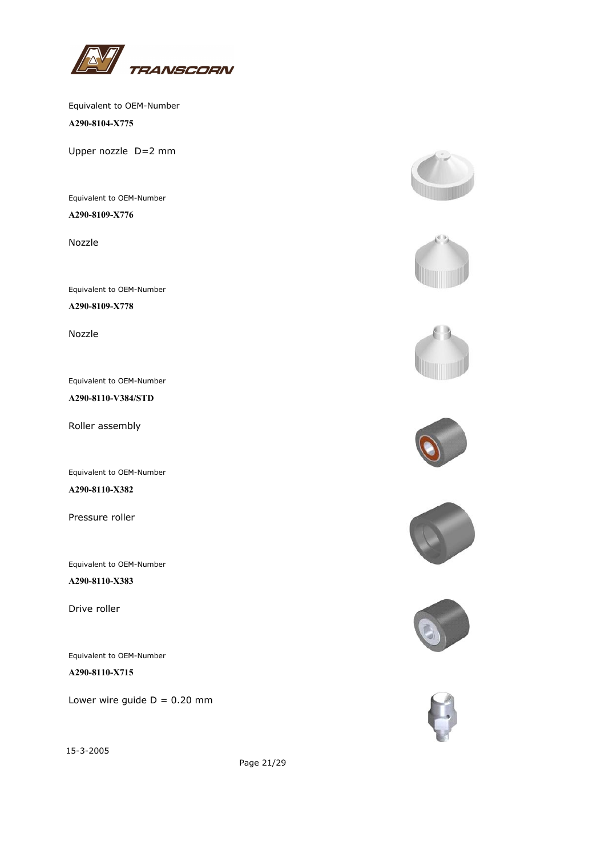

**A290-8104-X775**

Upper nozzle D=2 mm

Equivalent to OEM-Number **A290-8109-X776**

Nozzle

Equivalent to OEM-Number

**A290-8109-X778**

Nozzle

Equivalent to OEM-Number

**A290-8110-V384/STD**

Roller assembly

Equivalent to OEM-Number

**A290-8110-X382**

Pressure roller

Equivalent to OEM-Number

**A290-8110-X383**

Drive roller

Equivalent to OEM-Number

**A290-8110-X715**

Lower wire guide  $D = 0.20$  mm

















Page 21/29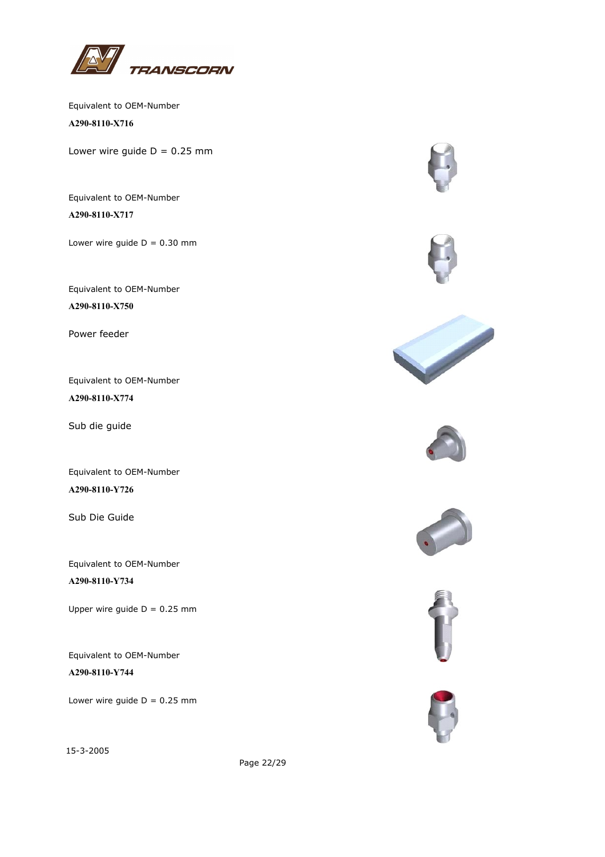

Equivalent to OEM-Number **A290-8110-X716**

Lower wire guide  $D = 0.25$  mm

Equivalent to OEM-Number **A290-8110-X717**

Lower wire quide  $D = 0.30$  mm

Equivalent to OEM-Number **A290-8110-X750**

Power feeder

Equivalent to OEM-Number **A290-8110-X774**

Sub die guide

Equivalent to OEM-Number **A290-8110-Y726**

Sub Die Guide

Equivalent to OEM-Number **A290-8110-Y734**

Upper wire guide  $D = 0.25$  mm

Equivalent to OEM-Number **A290-8110-Y744**

Lower wire guide  $D = 0.25$  mm

















Page 22/29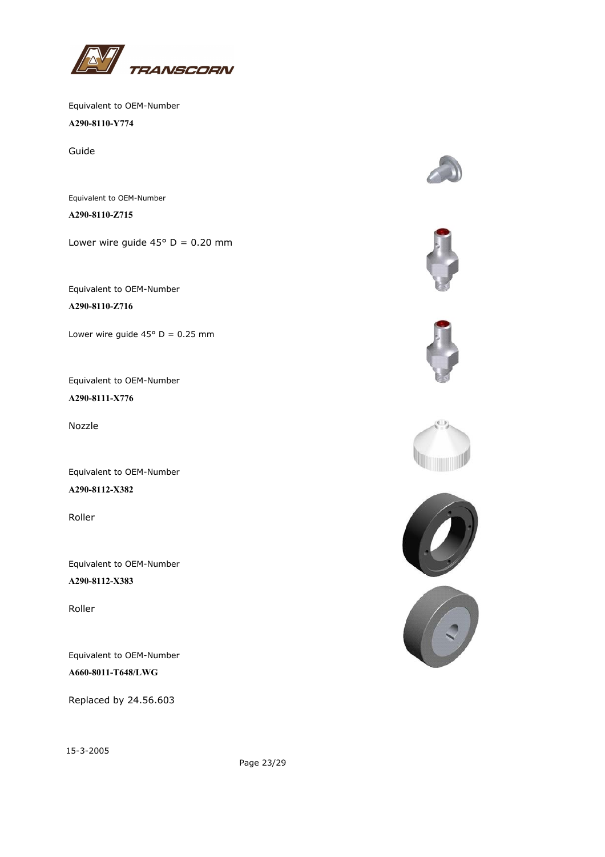

**A290-8110-Y774**

Guide

Equivalent to OEM-Number **A290-8110-Z715**

Lower wire quide  $45^{\circ}$  D = 0.20 mm

Equivalent to OEM-Number **A290-8110-Z716**

Lower wire guide  $45^{\circ}$  D = 0.25 mm

Equivalent to OEM-Number **A290-8111-X776**

Nozzle

Equivalent to OEM-Number **A290-8112-X382**

Roller

Equivalent to OEM-Number **A290-8112-X383**

Roller

Equivalent to OEM-Number **A660-8011-T648/LWG**

Replaced by 24.56.603











15-3-2005

Page 23/29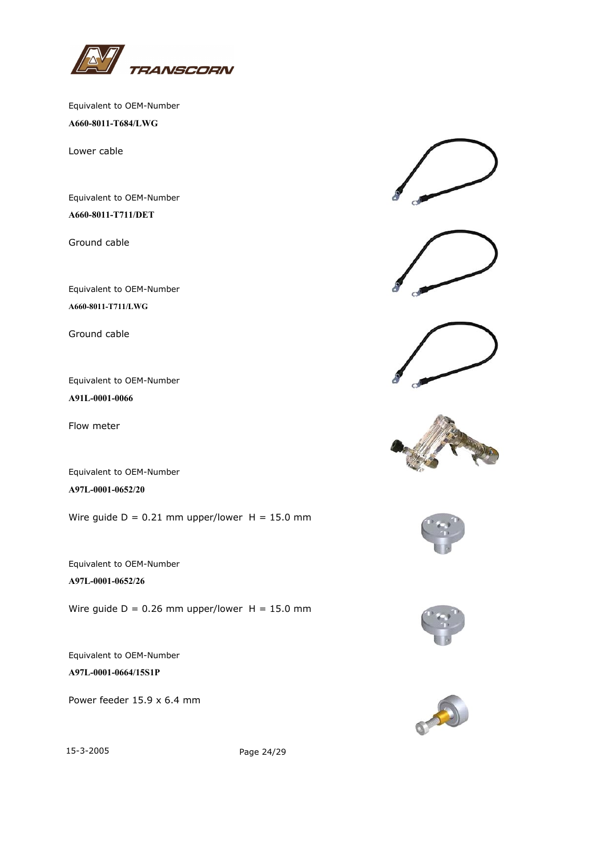

Equivalent to OEM-Number **A660-8011-T684/LWG**

Lower cable

Equivalent to OEM-Number **A660-8011-T711/DET**

Ground cable

Equivalent to OEM-Number **A660-8011-T711/LWG**

Ground cable

Equivalent to OEM-Number **A91L-0001-0066**

Flow meter

Equivalent to OEM-Number **A97L-0001-0652/20**

Wire guide  $D = 0.21$  mm upper/lower  $H = 15.0$  mm

Equivalent to OEM-Number **A97L-0001-0652/26**

Wire guide  $D = 0.26$  mm upper/lower  $H = 15.0$  mm

Equivalent to OEM-Number **A97L-0001-0664/15S1P**

Power feeder 15.9 x 6.4 mm











15-3-2005 Page 24/29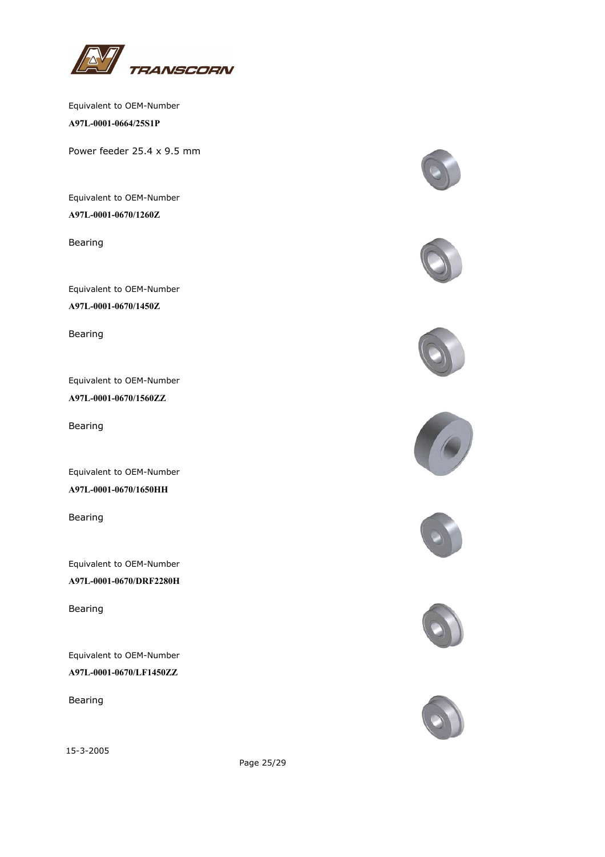

Equivalent to OEM-Number **A97L-0001-0664/25S1P**

Power feeder 25.4 x 9.5 mm

Equivalent to OEM-Number **A97L-0001-0670/1260Z**

Bearing

Equivalent to OEM-Number **A97L-0001-0670/1450Z**

Bearing

Equivalent to OEM-Number **A97L-0001-0670/1560ZZ**

Bearing

Equivalent to OEM-Number **A97L-0001-0670/1650HH**

Bearing

Equivalent to OEM-Number **A97L-0001-0670/DRF2280H**

Bearing

Equivalent to OEM-Number **A97L-0001-0670/LF1450ZZ**

Bearing

15-3-2005















Page 25/29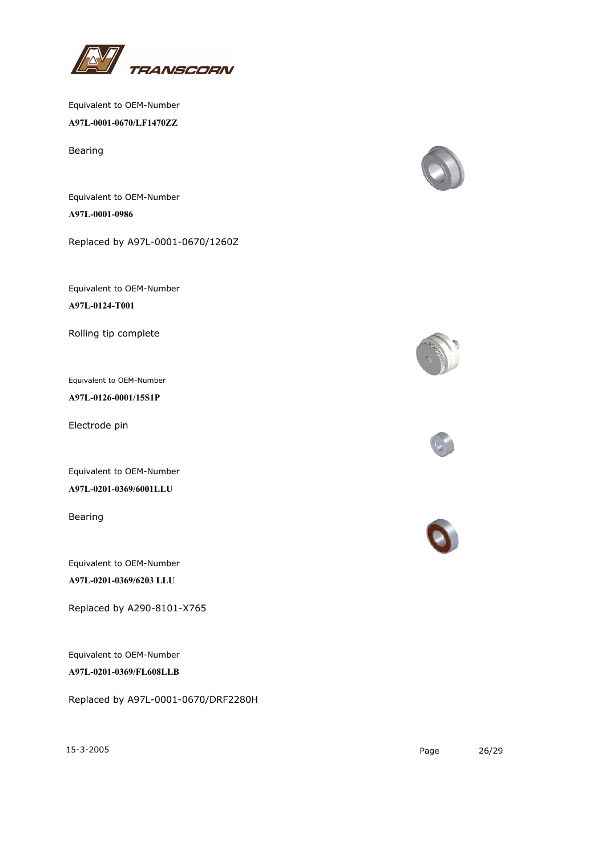

Equivalent to OEM-Number **A97L-0001-0670/LF1470ZZ**

Bearing

Equivalent to OEM-Number **A97L-0001-0986**

Replaced by A97L-0001-0670/1260Z

Equivalent to OEM-Number

**A97L-0124-T001**

Rolling tip complete

Equivalent to OEM-Number

**A97L-0126-0001/15S1P**

Electrode pin

Equivalent to OEM-Number

**A97L-0201-0369/6001LLU**

Bearing

Equivalent to OEM-Number **A97L-0201-0369/6203 LLU**

Replaced by A290-8101-X765

Equivalent to OEM-Number

**A97L-0201-0369/FL608LLB**

Replaced by A97L-0001-0670/DRF2280H









15-3-2005 Page 26/29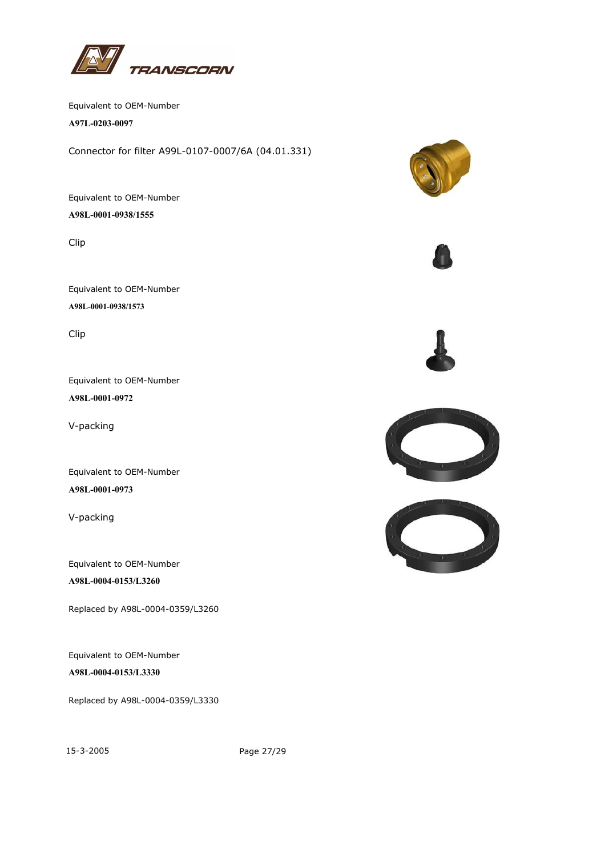

Equivalent to OEM-Number **A97L-0203-0097**

Connector for filter A99L-0107-0007/6A (04.01.331)

Equivalent to OEM-Number **A98L-0001-0938/1555**

Clip

Equivalent to OEM-Number **A98L-0001-0938/1573**

Clip

Equivalent to OEM-Number **A98L-0001-0972**

V-packing

Equivalent to OEM-Number **A98L-0001-0973**

V-packing

Equivalent to OEM-Number **A98L-0004-0153/L3260**

Replaced by A98L-0004-0359/L3260

Equivalent to OEM-Number **A98L-0004-0153/L3330**

Replaced by A98L-0004-0359/L3330

15-3-2005 Page 27/29







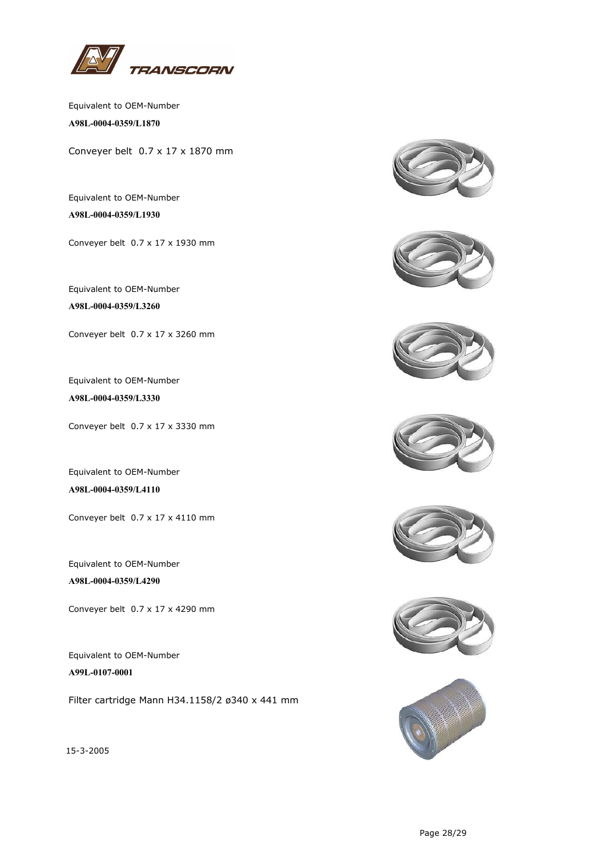

Equivalent to OEM-Number **A98L-0004-0359/L1870**

Conveyer belt 0.7 x 17 x 1870 mm

Equivalent to OEM-Number **A98L-0004-0359/L1930**

Conveyer belt 0.7 x 17 x 1930 mm

Equivalent to OEM-Number **A98L-0004-0359/L3260**

Conveyer belt 0.7 x 17 x 3260 mm

Equivalent to OEM-Number **A98L-0004-0359/L3330**

Conveyer belt 0.7 x 17 x 3330 mm

Equivalent to OEM-Number **A98L-0004-0359/L4110**

Conveyer belt 0.7 x 17 x 4110 mm

Equivalent to OEM-Number **A98L-0004-0359/L4290**

Conveyer belt 0.7 x 17 x 4290 mm

Equivalent to OEM-Number **A99L-0107-0001**

Filter cartridge Mann H34.1158/2 ø340 x 441 mm